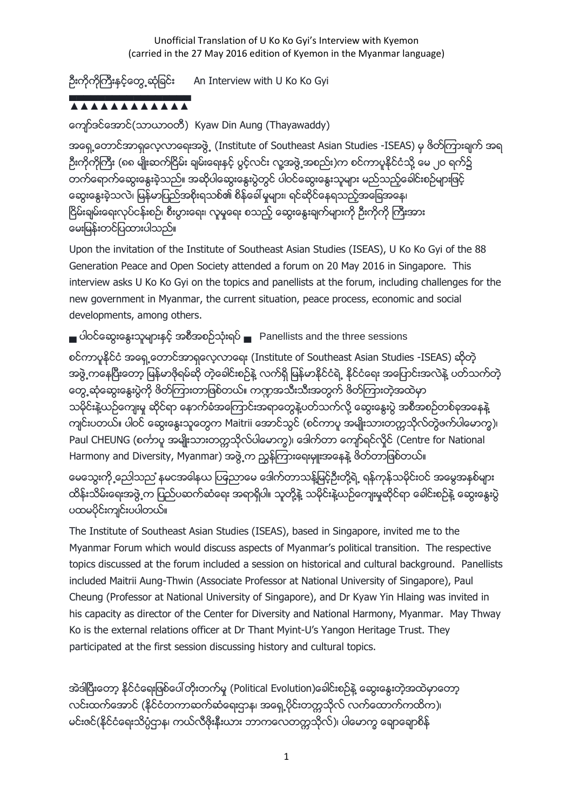Unofficial Translation of U Ko Ko Gyi's Interview with Kyemon (carried in the 27 May 2016 edition of Kyemon in the Myanmar language)

ဦးကိုကိုကြီးနှင့်တွေ့ ဆုံခြင်း An Interview with U Ko Ko Gyi

### ▄▄▄▄▄▄▄▄▄▄▄▄▄▄▄▄▄ ▲▲▲▲▲▲▲▲▲▲▲▲

ေက်ာ္ဒင္ေအာင္(သာယာဝတီ) Kyaw Din Aung (Thayawaddy)

အရှေ့တောင်အာရှလေ့လာရေးအဖွဲ့ (Institute of Southeast Asian Studies -ISEAS) မှ ဖိတ်ကြားချက် အရ ဦးကိုကိုကြီး (၈၈ မျိုးဆက်ငြိမ်း ချမ်းေရးနှင့် ပွင့်လင်း လူ့အဖွဲ့ အစည်း)က စင်ကာပူနိုင်ငံသို့ မေ ၂ဝ ရက်၌ တက်ေရာက်ဆွေးနွေးခဲ့သည်။ အဆိုပါေဆွးနွေးပွဲတွင် ပါဝင်ဆွေးနွေးသူများ မည်သည့်ခေါင်းစဉ်များဖြင့် ငော့အေနးခဲ့သလဲ၊ မြန်မာပြည်အစိုးရသစ်၏ စိန်ခေါ် မူများ၊ ရင်ဆိုင်နေရသည့်အခြေအနေ၊ ငြိမ်းချမ်းရေးလုပ်ငန်းစဉ်၊ စီးပွားရေး၊ လူမှုရေး စသည့် ဆွေးနွေးချက်များကို ဦးကိုကို ကြီးအား ေမးျမန္းတင္ျပထားပါသည္။

Upon the invitation of the Institute of Southeast Asian Studies (ISEAS), U Ko Ko Gyi of the 88 Generation Peace and Open Society attended a forum on 20 May 2016 in Singapore. This interview asks U Ko Ko Gyi on the topics and panellists at the forum, including challenges for the new government in Myanmar, the current situation, peace process, economic and social developments, among others.

▄ ပါဝင္ေဆြးေႏြးသူမ်ားႏွင့္ အစီအစဥ္သုံးရပ္ ▄ Panellists and the three sessions

စင္ကာပူႏုိင္ငံ အေရွ႕ေတာင္အာရွေလ့လာေရး (Institute of Southeast Asian Studies -ISEAS) ဆုိတဲ့ အဖွဲ့ ကနေပြီးေတာ့ မြန်မာဖိုရမ်ဆို တဲ့ေခါင်းစဉ်နဲ့ လက်ရှိ မြန်မာနိုင်ငံရဲ့ နိုင်ငံရေး အပြောင်းအလဲနဲ့ ပတ်သက်တဲ့ ေတြ႕ဆုံေဆြးေႏြးပြဲကို ဖိတ္ၾကားတာျဖစ္တယ္။ က႑အသီးသီးအတြက္ ဖိတ္ၾကားတဲ့အထဲမွာ သမိုင်းနဲ့ယဉ်ကျေးမှု ဆိုင်ရာ နောက်ခံအကြောင်းအရာတွေနဲ့ပတ်သက်လို့ ဆွေးနွေးပွဲ အစီအစဉ်တစ်ခုအနေနဲ့ ကျင်းပတယ်။ ပါဝင် ဆွေးနွေးသူတွေက Maitrii အောင်သွင် (စင်ကာပူ အမျိုးသားတက္ကသိုလ်တွဲဖက်ပါေမာက္ခ)၊ Paul CHEUNG (စင်္ကာပူ အမျိုးသားတက္ကသိုလ်ပါေမာက္ခ)၊ ဒေါက်တာ ကျော်ရင်လှိုင် (Centre for National Harmony and Diversity, Myanmar) အဖွဲ့က ညွန်ကြားေရးမျုးအနေနဲ့ ဖိတ်တာဖြစ်တယ်။

မေသွေးကို ့ညေါသည ံနမငအဓါနယ ပြန္နညာမေ ဒေါက်တာသန့်မြင့်ဦးတို့ရဲ့ ရန်ကုန်သမိုင်းဝင် အမွေအနစ်များ ထိန်းသိမ်းေရးအဖွဲ့က ပြည်ပဆက်ဆံေရး အရာရှိပါ။ သူတို့နဲ့ သမိုင်းနဲ့ယဉ်ကျေးမှုဆိုင်ရာ ခေါင်းစဉ်နဲ့ ဆွေးနွေးပွဲ ပထမပိုင်းကျင်းပပါတယ်။

The Institute of Southeast Asian Studies (ISEAS), based in Singapore, invited me to the Myanmar Forum which would discuss aspects of Myanmar's political transition. The respective topics discussed at the forum included a session on historical and cultural background. Panellists included Maitrii Aung-Thwin (Associate Professor at National University of Singapore), Paul Cheung (Professor at National University of Singapore), and Dr Kyaw Yin Hlaing was invited in his capacity as director of the Center for Diversity and National Harmony, Myanmar. May Thway Ko is the external relations officer at Dr Thant Myint-U's Yangon Heritage Trust. They participated at the first session discussing history and cultural topics.

အဲဒါပြီးေတာ့ နိုင်ငံေရးဖြစ်ပေါ်တိုးတက်မှု (Political Evolution)ေခါင်းစဉ်နဲ့ ေဆွးနွေးတဲ့အထဲမှာေတာ့ လင်းထက်အောင် (နိုင်ငံတကာဆက်ဆံေရးဌာန၊ အရှေ့ပိုင်းတက္ကသိုလ် လက်ထောက်ကထိက)၊ မင်းဇင်(နိင်ငံရေးသိပ္ပံဌာန၊ ကယ်လီဖိုးနီးယား ဘာကလေတက္ကသိုလ်)၊ ပါေမာက္ခ ေရာချောစိန်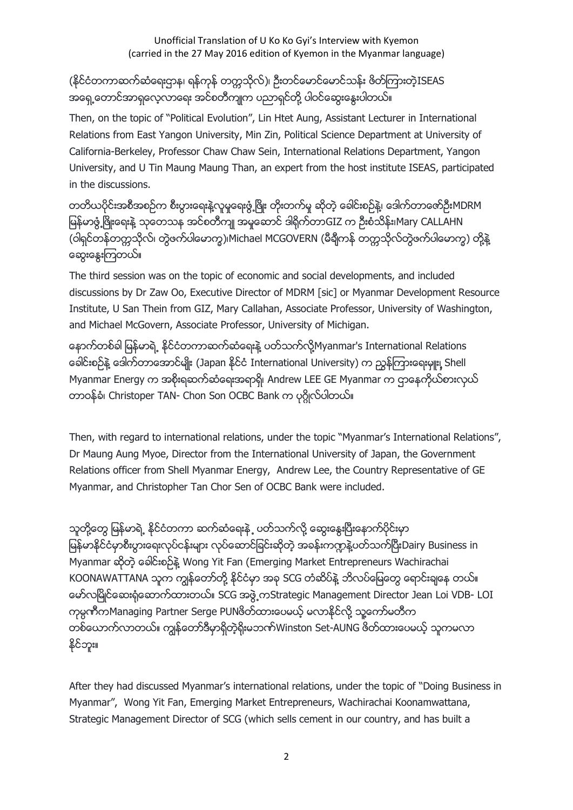# (နိုင်ငံတကာဆက်ဆံရေးဌာန၊ ရန်ကုန် တက္ကသိုလ်)၊ ဦးတင်မောင်မောင်သန်း ဖိတ်ကြားတဲ့ISEAS အရှေ့တောင်အာရှလေ့လာေရး အင်စတီကျုက ပညာရှင်တို့ ပါဝင်ဆွေးနွေးပါတယ်။

Then, on the topic of "Political Evolution", Lin Htet Aung, Assistant Lecturer in International Relations from East Yangon University, Min Zin, Political Science Department at University of California-Berkeley, Professor Chaw Chaw Sein, International Relations Department, Yangon University, and U Tin Maung Maung Than, an expert from the host institute ISEAS, participated in the discussions.

တတိယပိုင်းအစီအစဉ်က စီးပွားေရးနဲ့လူမူေရးဖွံ့ဖြိုး တိုးတက်မှု ဆိုတဲ့ ေခါင်းစဉ်နဲ့၊ ဒေါက်တာေဇာ်ဦးMDRM မြန်မာဖွံ့ဖြိုးရေးနဲ့ သုတေသန အင်စတီကျု အမှုဆောင် ဒါရိုက်တာGIZ က ဦးစံသိန်း၊Mary CALLAHN (ဝါရှင်တန်တက္ကသိုလ်၊ တွဲဖက်ပါေမာက္ခ)၊Michael MCGOVERN (မီချီကန် တက္ကသိုလ်တွဲဖက်ပါေမာက္ခ) တို့နဲ့ ေဆြးေႏြးၾကတယ္။

The third session was on the topic of economic and social developments, and included discussions by Dr Zaw Oo, Executive Director of MDRM [sic] or Myanmar Development Resource Institute, U San Thein from GIZ, Mary Callahan, Associate Professor, University of Washington, and Michael McGovern, Associate Professor, University of Michigan.

ေနာက္တစ္ခါ ျမန္မာရဲ႕ ႏုိင္ငံတကာဆက္ဆံေရးနဲ႔ ပတ္သက္လုိ႔Myanmar's International Relations အေါင်းစဉ်နဲ့ ဒေါက်တာအောင်မျိုး (Japan နိုင်ငံ International University) က ညွှန်ကြားရေးမှူး၊ Shell Myanmar Energy က အစိုးရဆက်ဆံေရးအရာရှိ၊ Andrew LEE GE Myanmar က ဌာနေကိုယ်စားလှယ် တာဝန်ခံ၊ Christoper TAN- Chon Son OCBC Bank က ပုဂ္ဂိုလ်ပါတယ်။

Then, with regard to international relations, under the topic "Myanmar's International Relations", Dr Maung Aung Myoe, Director from the International University of Japan, the Government Relations officer from Shell Myanmar Energy, Andrew Lee, the Country Representative of GE Myanmar, and Christopher Tan Chor Sen of OCBC Bank were included.

သူတို့တွေ မြန်မာရဲ့ နိုင်ငံတကာ ဆက်ဆံေရးနဲ ့ ပတ်သက်လို့ ဆွေးနွေးပြီးနောက်ပိုင်းမှာ မြန်မာနိုင်ငံမှာစီးပွားရေးလုပ်ငန်းများ လုပ်ဆောင်ခြင်းဆိုတဲ့ အခန်းကဏ္ဍနဲ့ပတ်သက်ပြီးDairy Business in Myanmar ဆုိတဲ့ ေခါင္းစဥ္နဲ႔ Wong Yit Fan (Emerging Market Entrepreneurs Wachirachai KOONAWATTANA သူက ကျွန်တော်တို့ နိုင်ငံမှာ အခု SCG တံဆိပ်နဲ့ ဘိလပ်မြေတွေ ရောင်းချနေ တယ်။ ေမာ္လၿမိဳင္ေဆး႐ံုေဆာက္ထားတယ္။ SCG အဖြဲ႕ကStrategic Management Director Jean Loi VDB- LOI ကုမ္ပကီကManaging Partner Serge PUNဖိတ်ထားပေမယ့် မလာနိုင်လို့ သူ့ကော်မတီက တစ်ယောက်လာတယ်။ ကျွန်တော်ဒီမှာရှိတဲ့ရိုးမဘဏ်Winston Set-AUNG ဖိတ်ထားပေမယ့် သူကမလာ နိုင်ဘူး။

After they had discussed Myanmar's international relations, under the topic of "Doing Business in Myanmar", Wong Yit Fan, Emerging Market Entrepreneurs, Wachirachai Koonamwattana, Strategic Management Director of SCG (which sells cement in our country, and has built a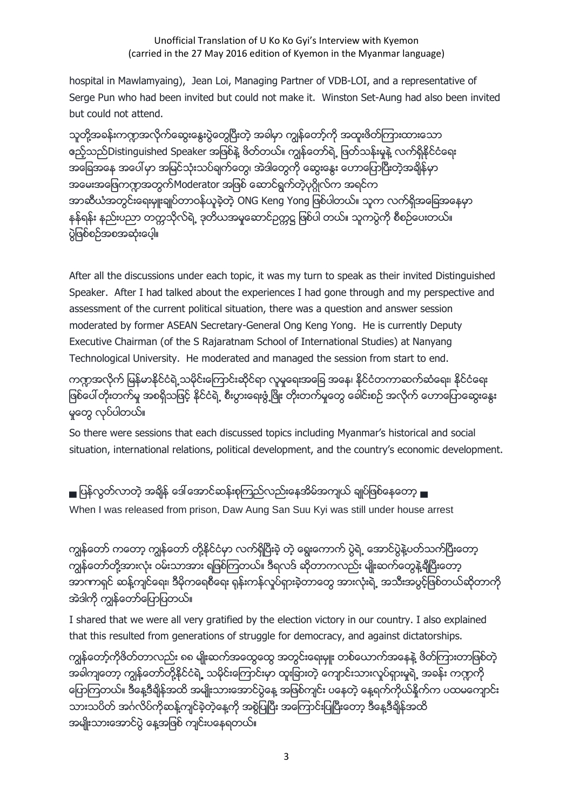hospital in Mawlamyaing), Jean Loi, Managing Partner of VDB-LOI, and a representative of Serge Pun who had been invited but could not make it. Winston Set-Aung had also been invited but could not attend.

သူတို့အခန်းကဣာအလိုက်ဆွေးနွေးပွဲတွေပြီးတဲ့ အခါမှာ ကျွန်တော့်ကို အထူးဖိတ်ကြားထားသော ဧည့်သည်Distinguished Speaker အဖြစ်နဲ့ ဖိတ်တယ်။ ကျွန်တော်ရဲ့ ဖြတ်သန်းမှုနဲ့ လက်ရှိနိုင်ငံရေး အခြေအနေ အပေါ်မှာ အမြင်သုံးသပ်ချက်တွေ၊ အဲဒါတွေကို ဆွေးနွေး ဟောပြောပြီးတဲ့အချိန်မှာ အမေးအဖြေကဣာအတွက်Moderator အဖြစ် ေဆာင်ရွက်တဲ့ပုဂ္ဂိုလ်က အရင်က အာဆီယံအတွင်းရေးမှူးချုပ်တာဝန်ယူခဲ့တဲ့ ONG Keng Yong ဖြစ်ပါတယ်။ သူက လက်ရှိအခြေအနေမှာ နန်ရန်း နည်းပညာ တက္ကသိုလ်ရဲ့ ဒုတိယအမူေဆာင်ဥက္ကဋ္ဌ ဖြစ်ပါ တယ်။ သူကပွဲကို စီစဉ်ပေးတယ်။ ပဲ့ဖြစ်စဉ်အစအဆုံးပေါ့။

After all the discussions under each topic, it was my turn to speak as their invited Distinguished Speaker. After I had talked about the experiences I had gone through and my perspective and assessment of the current political situation, there was a question and answer session moderated by former ASEAN Secretary-General Ong Keng Yong. He is currently Deputy Executive Chairman (of the S Rajaratnam School of International Studies) at Nanyang Technological University. He moderated and managed the session from start to end.

ကဣာအလိုက် မြန်မာနိုင်ငံရဲ့သမိုင်းေကြာင်းဆိုင်ရာ လူမှုရေးအခြေ အနေ၊ နိုင်ငံတကာဆက်ဆံရေး၊ နိုင်ငံရေး ဖြစ်ပေါ် တိုးတက်မှု အစရှိသဖြင့် နိုင်ငံရဲ့ စီးပွားေရးဖွံ့ဖြိုး တိုးတက်မှုတွေ ခေါင်းစဉ် အလိုက် ေဟာပြောဆွေးနွေး မႈေတြ လုပ္ပါတယ္။

So there were sessions that each discussed topics including Myanmar's historical and social situation, international relations, political development, and the country's economic development.

■ ပြန်လွတ်လာတဲ့ အချိန် ဒေါ် အောင်ဆန်းစုကြည်လည်းနေအိမ်အကျယ် ချုပ်ဖြစ်နေတော့ ■ When I was released from prison, Daw Aung San Suu Kyi was still under house arrest

ကျွန်တော် ကတော့ ကျွန်တော် တို့နိုင်ငံမှာ လက်ရှိပြီးခဲ့ တဲ့ ေရွးေကာက် ပွဲရဲ့ ေအာင်ပွဲနဲ့ပတ်သက်ပြီးေတာ့ ္သြ .<br>ကျန်တော်တို့အားလုံး ဝမ်းသာအား ရဖြစ်ကြတယ်။ ဒီရလဒ် ဆိုတာကလည်း မျိုးဆက်တွေနဲ့ချီပြီးတော့ ္သာ<br>အာဏာရှင် ဆန့်ကျင်ရေး၊ ဒီမိုကရေစီရေး ရုန်းကန်လှုပ်ရှားခဲ့တာတွေ အားလုံးရဲ့ အသီးအပွင့်ဖြစ်တယ်ဆိုတာကို အဲဒါကို ကျွန်တော်ပြောပြတယ်။

I shared that we were all very gratified by the election victory in our country. I also explained that this resulted from generations of struggle for democracy, and against dictatorships.

ကျွန်တော့်ကိုဖိတ်တာလည်း ၈၈ မျိုးဆက်အထွေထွေ အတွင်းရေးမျုး တစ်ယောက်အနေနဲ့ ဖိတ်ကြားတာဖြစ်တဲ့ အခါကျတော့ ကျွန်တော်တို့နိုင်ငံရဲ့ သမိုင်းကြောင်းမှာ ထူးခြားတဲ့ ကျောင်းသားလှုပ်ရှားမှုရဲ့ အခန်း ကဏ္ဍကို ဖြောကြတယ်။ ဒီေန့ဒီချိန်အထိ အမျိုးသားေအာင်ပွဲေန့ အဖြစ်ကျင်း ပနေတဲ့ ေန့ရက်ကိုယ်နိုက်က ပထမကျောင်း သားသပိတ် အင်္ဂလိပ်ကိုဆန့်ကျင်ခဲ့တဲ့နေ့ကို အစွဲပြုပြီး အကြောင်းပြုပြီးေတာ့ ဒီနေ့ဒီချိန်အထိ အမျိုးသားေအာင်ပွဲ ေန့အဖြစ် ကျင်းပနေရတယ်။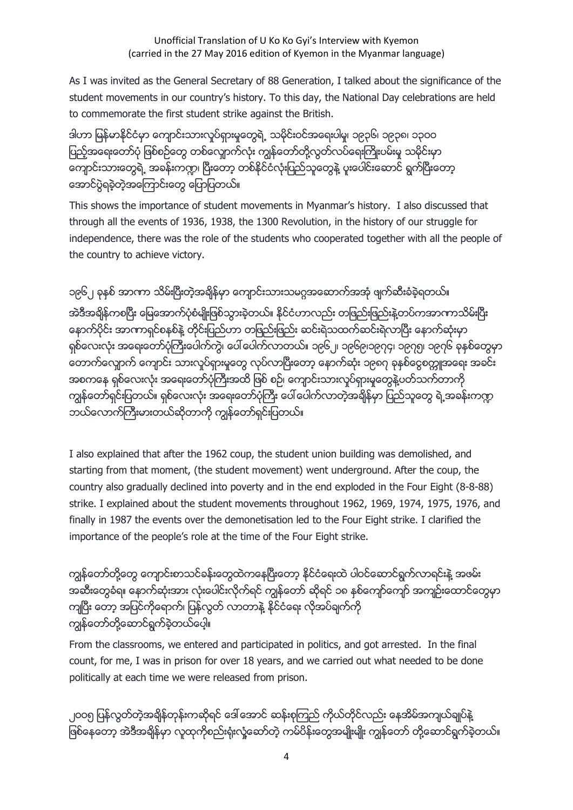As I was invited as the General Secretary of 88 Generation, I talked about the significance of the student movements in our country's history. To this day, the National Day celebrations are held to commemorate the first student strike against the British.

ဒါဟာ မြန်မာနိုင်ငံမှာ ကျောင်းသားလှုပ်ရှားမှုတွေရဲ့ သမိုင်းဝင်အရေးပါမှု၊ ၁၉၃၆၊ ၁၉၃၈၊ ၁၃ဝဝ ပြည့်အရေးတော်ပုံ ဖြစ်စဉ်တွေ တစ်လျှောက်လုံး ကျွန်တော်တို့လွတ်လပ်ရေးကြိုးပမ်းမှု သမိုင်းမှာ ကျောင်းသားတွေရဲ့ အခန်းကဏ္ဟ၊ ပြီးတော့ တစ်နိုင်ငံလုံးပြည်သူတွေနဲ့ ပူးပေါင်းဆောင် ရွက်ပြီးတော့ ေအာင္ပြဲရခဲ့တဲ့အေၾကာင္းေတြ ေျပာျပတယ္။

This shows the importance of student movements in Myanmar's history. I also discussed that through all the events of 1936, 1938, the 1300 Revolution, in the history of our struggle for independence, there was the role of the students who cooperated together with all the people of the country to achieve victory.

၁၉၆၂ ခုနှစ် အာဏာ သိမ်းပြီးတဲ့အချိန်မှာ ကျောင်းသားသမဂ္ဂအဆောက်အအုံ ဖျက်ဆီးခံခဲ့ရတယ်။ အဲဒီအချိန်ကစပြီး မြေအောက်ပုံစံမျိုးဖြစ်သွားခဲ့တယ်။ နိုင်ငံဟာလည်း တဖြည်းဖြည်းနဲ့တပ်ကအာဏာသိမ်းပြီး ေနာက္ပိုင္း အာဏာရွင္စနစ္နဲ႔ တိုင္းျပည္ဟာ တျဖည္းျဖည္း ဆင္းရဲသထက္ဆင္းရဲလာၿပီး ေနာက္ဆံုးမွာ ရှစ်လေးလုံး အရေးတော်ပုံကြီးပေါက်ကွဲ၊ ပေါ် ပေါက်လာတယ်။ ၁၉၆၂၊ ၁၉၆၉၊၁၉၇၄၊ ၁၉၇၅၊ ၁၉၇၆ ခုနှစ်တွေမှာ ေတာက္ေလွ်ာက္ ေက်ာင္း သားလႈပ္ရွားမႈေတြ လုပ္လာၿပီးေတာ့ ေနာက္ဆံုး ၁၉၈၇ ခုႏွစ္ေငြစကၠဴအေရး အခင္း အစကနေ ရှစ်လေးလုံး အရေးတော်ပုံကြီးအထိ ဖြစ် စဉ်၊ ကျောင်းသားလှုပ်ရှားမှုတွေနဲ့ပတ်သက်တာကို ကျွန်တော်ရှင်းပြတယ်။ ရှစ်လေးလုံး အရေးတော်ပုံကြီး ပေါ် ပေါက်လာတဲ့အချိန်မှာ ပြည်သူတွေ ရဲ့အခန်းကဏ္ဍ ဘယ်လောက်ကြီးမားတယ်ဆိုတာကို ကျွန်တော်ရှင်းပြတယ်။

I also explained that after the 1962 coup, the student union building was demolished, and starting from that moment, (the student movement) went underground. After the coup, the country also gradually declined into poverty and in the end exploded in the Four Eight (8-8-88) strike. I explained about the student movements throughout 1962, 1969, 1974, 1975, 1976, and finally in 1987 the events over the demonetisation led to the Four Eight strike. I clarified the importance of the people's role at the time of the Four Eight strike.

ကျွန်တော်တို့တွေ ကျောင်းစာသင်ခန်းတွေထဲကနေပြီးတော့ နိုင်ငံရေးထဲ ပါဝင်ဆောင်ရွက်လာရင်းနဲ့ အဖမ်း အဆီးတွေခံရ။ ေနာက်ဆုံးအား လုံးပေါင်းလိုက်ရင် ကျွန်တော် ဆိုရင် ၁၈ နစ်ကျော်ကျော် အကျဉ်းထောင်တွေမှာ ကျပြီး ေတာ့ အပြင်ကိုရောက်၊ ပြန်လွတ် လာတာနဲ့ နိုင်ငံရေး လိုအပ်ချက်ကို ကြၽန္ေတာ္တို႔ေဆာင္ရြက္ခဲ့တယ္ေပါ့။

From the classrooms, we entered and participated in politics, and got arrested. In the final count, for me, I was in prison for over 18 years, and we carried out what needed to be done politically at each time we were released from prison.

၂ဝဝ၅ ပြန်လွတ်တဲ့အချိန်တုန်းကဆိုရင် ဒေါ် အောင် ဆန်းစုကြည် ကိုယ်တိုင်လည်း နေအိမ်အကျယ်ချုပ်နဲ့ ဖြစ်နေတော့ အဲဒီအချိန်မှာ လူထုကိုစည်းရုံးလှုံ့ဆော်တဲ့ ကမ်ပိန်းတွေအမျိုးမျိုး ကျွန်တော် တို့ဆောင်ရွက်ခဲ့တယ်။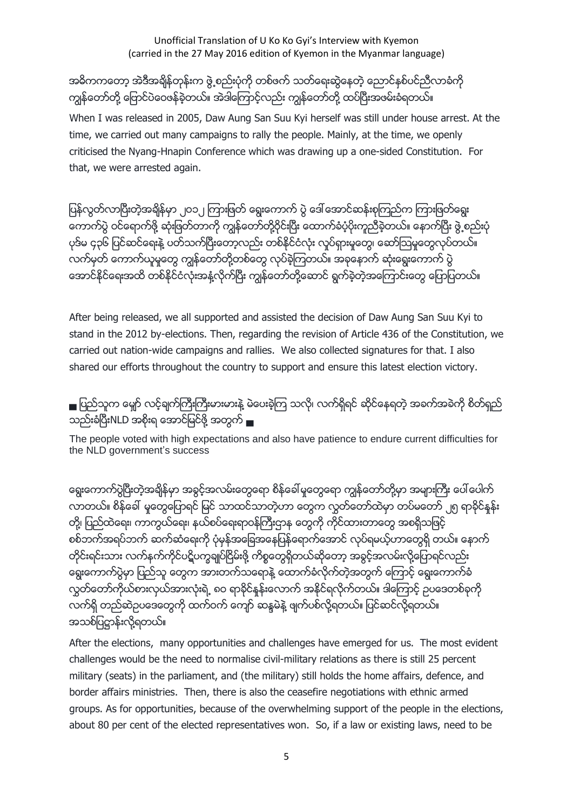#### Unofficial Translation of U Ko Ko Gyi's Interview with Kyemon (carried in the 27 May 2016 edition of Kyemon in the Myanmar language)

# အဓိကကတော့ အဲဒီအချိန်တုန်းက ဖွဲ့ စည်းပုံကို တစ်ဖက် သတ်ရေးဆွဲနေတဲ့ ညောင်နစ်ပင်ညီလာခံကို ကျွန်တော်တို့ ေြာင်ပဲဝေဖန်ခဲ့တယ်။ အဲဒါေကြာင့်လည်း ကျွန်တော်တို့ ထပ်ပြီးအဖမ်းခံရတယ်။

When I was released in 2005, Daw Aung San Suu Kyi herself was still under house arrest. At the time, we carried out many campaigns to rally the people. Mainly, at the time, we openly criticised the Nyang-Hnapin Conference which was drawing up a one-sided Constitution. For that, we were arrested again.

ပြန်လွတ်လာပြီးတဲ့အချိန်မှာ ၂ဝ၁၂ ကြားဖြတ် ရွေးကောက် ပွဲ ဒေါ် အောင်ဆန်းစုကြည်က ကြားဖြတ်ရွေး ေကာက္ပြဲ ဝင္ေရာက္ဖို႔ ဆုံးျဖတ္တာကို ကြၽန္ေတာ္တုိ႔ဝိုင္းၿပီး ေထာက္ခံပံ့ပိုးကူညီခဲ့တယ္။ ေနာက္ၿပီး ဖြဲ႕စည္းပုံ ပုဒ်မ ၄၃၆ ပြင်ဆင်ရေးနဲ့ ပတ်သက်ပြီးတော့လည်း တစ်နိုင်ငံလုံး လှုပ်ရှားမှုတွေ၊ ဆော်ဩမှုတွေလုပ်တယ်။ လက်မှတ် ေကာက်ယူမှုတွေ ကျွန်တော်တို့တစ်တွေ လုပ်ခဲ့ကြတယ်။ အခုနောက် ဆုံးေရွးေကာက် ပွဲ အောင်နိုင်ရေးအထိ တစ်နိုင်ငံလုံးအနံ့လိုက်ပြီး ကျွန်တော်တို့ဆောင် ရွက်ခဲ့တဲ့အကြောင်းတွေ ပြောပြတယ်။

After being released, we all supported and assisted the decision of Daw Aung San Suu Kyi to stand in the 2012 by-elections. Then, regarding the revision of Article 436 of the Constitution, we carried out nation-wide campaigns and rallies. We also collected signatures for that. I also shared our efforts throughout the country to support and ensure this latest election victory.

■ ပြည်သူက မျှော် လင့်ချက်ကြီးကြီးမားမားနဲ့ မဲပေးခဲ့ကြ သလို၊ လက်ရှိရင် ဆိုင်နေရတဲ့ အခက်အခဲကို စိတ်ရှည် သည်းခံပြီးNLD အစိုးရ ေအာင်မြင်ဖို့ အတွက် ▄

The people voted with high expectations and also have patience to endure current difficulties for the NLD government's success

နေးကောက်ပွဲပြီးတဲ့အချိန်မှာ အခွင့်အလမ်းတွေရော စိန်ခေါ် မူတွေရော ကျွန်တော်တို့မှာ အများကြီး ပေါ် ပေါက် လာတယ်။ စိန္န်ခေါ် မူတွေပြောရင် မြင် သာထင်သာတဲ့ဟာ တွေက လွတ်တော်ထဲမှာ တပ်မတော် ၂၅ ရာခိုင်နန်း တို့၊ ပြည်ထဲေရး၊ ကာကွယ်ေရး၊ နယ်စပ်ေရးရာဝန်ကြီးဌာန တွေကို ကိုင်ထားတာတွေ အစရှိသဖြင့် စစ်ဘက်အရပ်ဘက် ဆက်ဆံေရးကို ပုံမှန်အခြေအနေပြန်ရောက်အောင် လုပ်ရမယ့်ဟာတွေရှိ တယ်။ နောက် တိုင်းရင်းသား လက်နက်ကိုင်ပဋိပက္ခချုပ်ငြိမ်းဖို့ ကိစ္စတွေရှိတယ်ဆိုတော့ အခွင့်အလမ်းလို့ပြောရင်လည်း နေးကောက်ပွဲမှာ ပြည်သူ တွေက အားတက်သရောနဲ့ ထောက်ခံလိုက်တဲ့အတွက် ကြောင့် ရွေးကောက်ခံ လွတ်တော်ကိုယ်စားလှယ်အားလုံးရဲ့ ၈ဝ ရာခိုင်နန်းလောက် အနိုင်ရလိုက်တယ်။ ဒါကြောင့် ဥပဒေတစ်ခုကို လက်ရှိ တည်ဆဲဥပဒေတွေကို ထက်ဝက် ကျော် ဆန္ဒမဲနဲ့ ဖျက်ပစ်လို့ရတယ်။ ပြင်ဆင်လို့ရတယ်။ အသစ္ျပ႒ာန္းလို႔ရတယ္။

After the elections, many opportunities and challenges have emerged for us. The most evident challenges would be the need to normalise civil-military relations as there is still 25 percent military (seats) in the parliament, and (the military) still holds the home affairs, defence, and border affairs ministries. Then, there is also the ceasefire negotiations with ethnic armed groups. As for opportunities, because of the overwhelming support of the people in the elections, about 80 per cent of the elected representatives won. So, if a law or existing laws, need to be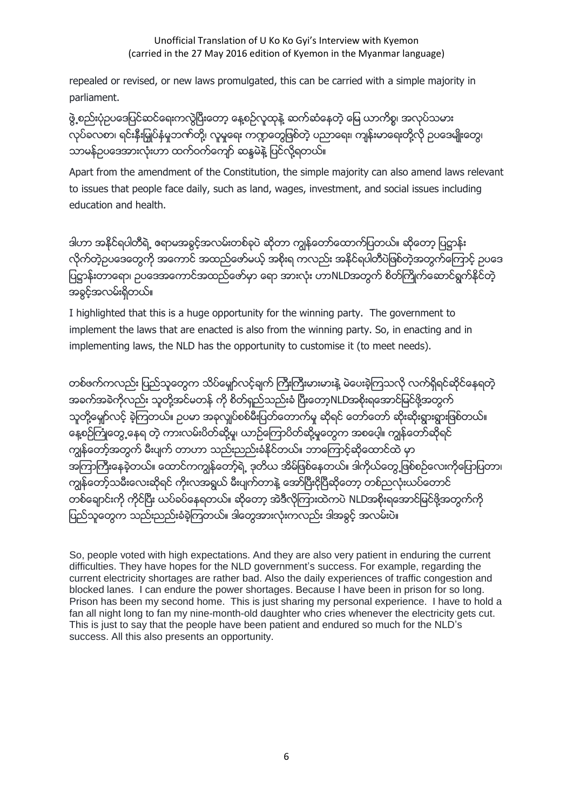### Unofficial Translation of U Ko Ko Gyi's Interview with Kyemon (carried in the 27 May 2016 edition of Kyemon in the Myanmar language)

repealed or revised, or new laws promulgated, this can be carried with a simple majority in parliament.

ဖွဲ့ စည်းပုံဥပဒေပြင်ဆင်ရေးကလွဲပြီးေတာ့ နေ့စဉ်လူထုနဲ့ ဆက်ဆံနေတဲ့ မြေ ယာကိစ္စ၊ အလုပ်သမား လုပ်ခလစာ၊ ရင်းနီးမြုပ်နံမှုဘဏ်တို့၊ လူမှုရေး ကဏ္ဍတွေဖြစ်တဲ့ ပညာရေး၊ ကျန်းမာရေးတို့လို ဥပဒေမျိုးတွေ၊ သာမန်ဥပဒေအားလုံးဟာ ထက်ဝက်ကျော် ဆန္ဒမဲနဲ့ ပြင်လို့ရတယ်။

Apart from the amendment of the Constitution, the simple majority can also amend laws relevant to issues that people face daily, such as land, wages, investment, and social issues including education and health.

ဒါဟာ အနိုင်ရပါတီရဲ့ ဧရာမအခွင့်အလမ်းတစ်ခုပဲ ဆိုတာ ကျွန်တော်ထောက်ပြတယ်။ ဆိုတော့ ပြဋ္ဌာန်း လိုက်တဲ့ဥပဒေတွေကို အကောင် အထည်ဖော်မယ့် အစိုးရ ကလည်း အနိုင်ရပါတီပဲဖြစ်တဲ့အတွက်ကြောင့် ဥပဒေ ျပ႒ာန္းတာေရာ၊ ဥပေဒအေကာင္အထည္ေဖာ္မွာ ေရာ အားလုံး ဟာNLDအတြက္ စိတ္ႀကိဳက္ေဆာင္ရြက္ႏုိင္တဲ့ အခြင့္အလမ္းရွိတယ္။

I highlighted that this is a huge opportunity for the winning party. The government to implement the laws that are enacted is also from the winning party. So, in enacting and in implementing laws, the NLD has the opportunity to customise it (to meet needs).

တစ်ဖက်ကလည်း ပြည်သူတွေက သိပ်မျော်လင့်ချက် ကြီးကြီးမားမားနဲ့ မဲပေးခဲ့ကြသလို လက်ရှိရင်ဆိုင်နေရတဲ့ အခက်အခဲကိုလည်း သူတို့အင်မတန် ကို စိတ်ရှည်သည်းခံ ပြီးတော့NLDအစိုးရအောင်မြင်ဖို့အတွက် သူတို့မျော်လင့် ခဲ့ကြတယ်။ ဥပမာ အခုလျှပ်စစ်မီးပြတ်တောက်မှု ဆိုရင် တော်တော် ဆိုးဆိုးရွားရွားဖြစ်တယ်။ နေ့စဉ်ကြုံတွေ့နေရ တဲ့ ကားလမ်းပိတ်ဆို့မှု၊ ယာဉ်ကြောပိတ်ဆို့မှုတွေက အစပေ့ါ့။ ကျွန်တော်ဆိုရင် ကျွန်တော်အတွက် မီးပျက် တာဟာ သည်းညည်းခံနိုင်တယ်။ ဘာေကြာင့်ဆိုထောင်ထဲ မှာ အကြာကြီးနေခဲ့တယ်။ ေထာင်ကကျွန်တော့်ရဲ့ ဒုတိယ အိမ်ဖြစ်နေတယ်။ ဒါကိုယ်တွေ့ ဖြစ်စဉ်လေးကိုပြောပြတာ၊ ကျွန်တော့်သမီးလေးဆိုရင် ကိုးလအရွယ် မီးပျက်တာနဲ့ အော်ပြီးငိုပြီဆိုတော့ တစ်ညလုံးယပ်တောင် တစ်ချောင်းကို ကိုင်ပြီး ယပ်ခပ်နေရတယ်။ ဆိုေတာ့ အဲဒီလိုကြားထဲကပဲ NLDအစိုးရအောင်မြင်ဖို့အတွက်ကို ပြည်သူတွေက သည်းညည်းခံခဲ့ကြတယ်။ ဒါတွေအားလုံးကလည်း ဒါအခွင့် အလမ်းပဲ။

So, people voted with high expectations. And they are also very patient in enduring the current difficulties. They have hopes for the NLD government's success. For example, regarding the current electricity shortages are rather bad. Also the daily experiences of traffic congestion and blocked lanes. I can endure the power shortages. Because I have been in prison for so long. Prison has been my second home. This is just sharing my personal experience. I have to hold a fan all night long to fan my nine-month-old daughter who cries whenever the electricity gets cut. This is just to say that the people have been patient and endured so much for the NLD's success. All this also presents an opportunity.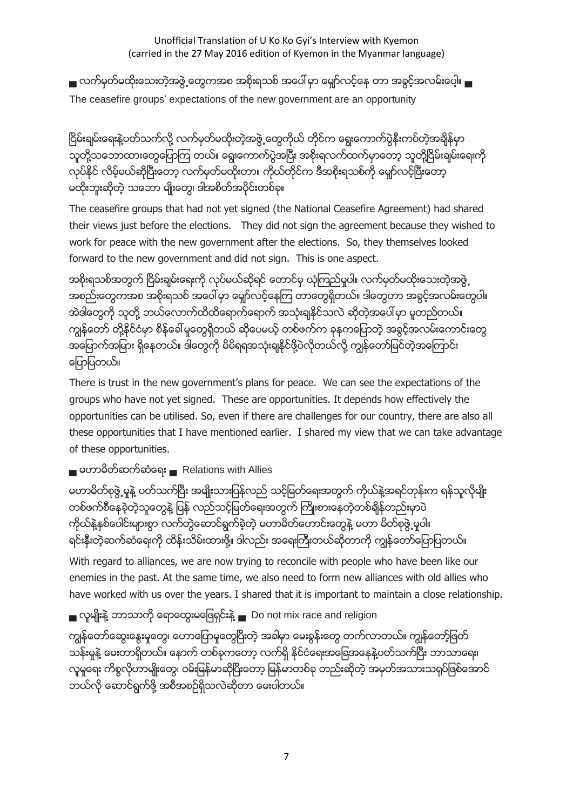■ လက်မှတ်မထိုးသေးတဲ့အဖွဲ့ တွေကအစ အစိုးရသစ် အပေါ် မှာ မျော်လင့်နေ တာ အခွင့်အလမ်းပေ့ါ။ ■ The ceasefire groups' expectations of the new government are an opportunity

ငြိမ်းချမ်းရေးနဲ့ပတ်သက်လို့ လက်မှတ်မထိုးတဲ့အဖွဲ့ တွေကိုယ် တိုင်က ရွေးကောက်ပွဲနီးကပ်တဲ့အချိန်မှာ သူတို့သဘောထားတွေပြောကြ တယ်။ ေရွးေကာက်ပွဲအပြီး အစိုးရလက်ထက်မှာေတာ့ သူတို့ငြိမ်းချမ်းေရးကို လုပ်နိုင် လိမ့်မယ်ဆိုပြီးေတာ့ လက်မှတ်မထိုးတာ။ ကိုယ်တိုင်က ဒီအစိုးရသစ်ကို မျော်လင့်ပြီးေတာ့ မထိုးဘူးဆိုတဲ့ သဘော မျိုးတွေ၊ ဒါအစိတ်အပိုင်းတစ်ခု။

The ceasefire groups that had not yet signed (the National Ceasefire Agreement) had shared their views just before the elections. They did not sign the agreement because they wished to work for peace with the new government after the elections. So, they themselves looked forward to the new government and did not sign. This is one aspect.

အစိုးရသစ်အတွက် ငြိမ်းချမ်းရေးကို လုပ်မယ်ဆိုရင် တောင်မှ ယုံကြည်မှုပါ။ လက်မှတ်မထိုးသေးတဲ့အဖွဲ့ အစည်းတွေကအစ အစိုးရသစ် အပေါ် မှာ မျော်လင့်နေကြ တာတွေရှိတယ်။ ဒါတွေဟာ အခွင့်အလမ်းတွေပါ။ အဲဒါတွေကို သူတို့ ဘယ်လောက်ထိထိရောက်ရောက် အသုံးချနိုင်သလဲ ဆိုတဲ့အပေါ်မှာ မူတည်တယ်။ ကျွန်တော် တို့နိုင်ငံမှာ စိန်ခေါ်မူတွေရှိတယ် ဆိုပေမယ့် တစ်ဖက်က ခုနကပြောတဲ့ အခွင့်အလမ်းကောင်းတွေ အမြောက်အမြား ရှိနေတယ်။ ဒါတွေကို မိမိရရအသုံးချနိုင်ဖို့ပဲလိုတယ်လို့ ကျွန်တော်မြင်တဲ့အကြောင်း ေျပာျပတယ္။

There is trust in the new government's plans for peace. We can see the expectations of the groups who have not yet signed. These are opportunities. It depends how effectively the opportunities can be utilised. So, even if there are challenges for our country, there are also all these opportunities that I have mentioned earlier. I shared my view that we can take advantage of these opportunities.

▄ မဟာမိတ္ဆက္ဆံေရး ▄ Relations with Allies

မဟာမိတ်စုဖွဲ့ မူနဲ့ ပတ်သက်ပြီး အမျိုးသားပြန်လည် သင့်မြတ်ရေးအတွက် ကိုယ်နဲ့အရင်တုန်းက ရန်သူလိုမျိုး တစ်ဖက်စီနေခဲ့တဲ့သူတွေနဲ့ ပြန် လည်သင့်မြတ်ရေးအတွက် ကြိုးစားနေတဲ့တစ်ချိန်တည်းမှာပဲ ကိုယ်နဲ့နစ်ပေါင်းများစွာ လက်တွဲဆောင်ရွက်ခဲ့တဲ့ မဟာမိတ်ဟောင်းတွေနဲ့ မဟာ မိတ်စုဖွဲ့ မူပါ။ ရင်းနီးတဲ့ဆက်ဆံေရးကို ထိန်းသိမ်းထားဖို့။ ဒါလည်း အရေးကြီးတယ်ဆိုတာကို ကျွန်တော်ပြောပြတယ်။

With regard to alliances, we are now trying to reconcile with people who have been like our enemies in the past. At the same time, we also need to form new alliances with old allies who have worked with us over the years. I shared that it is important to maintain a close relationship.

■ လူမျိုးနဲ့ ဘာသာကို ေရာထွေးမဖြေရှင်းနဲ့ ■ Do not mix race and religion

ကျွန်တော်ဆွေးနွေးမှုတွေ၊ ဟောပြောမူတွေပြီးတဲ့ အခါမှာ မေးခွန်းတွေ တက်လာတယ်။ ကျွန်တော့်ဖြတ် သန်းမှုနဲ့ မေးတာရှိတယ်။ ေနာက် တစ်ခုကတော့ လက်ရှိ နိုင်ငံရေးအခြေအနေနဲ့ပတ်သက်ပြီး ဘာသာရေး၊ လူမှုရေး ကိစ္စလိုဟာမျိုးတွေ၊ ဝမ်းမြန်မာဆိုပြီးတော့ မြန်မာတစ်ခု တည်းဆိုတဲ့ အမှတ်အသားသရုပ်ဖြစ်အောင် ဘယ္လို ေဆာင္ရြက္ဖို႔ အစီအစဥ္ရွိသလဲဆုိတာ ေမးပါတယ္။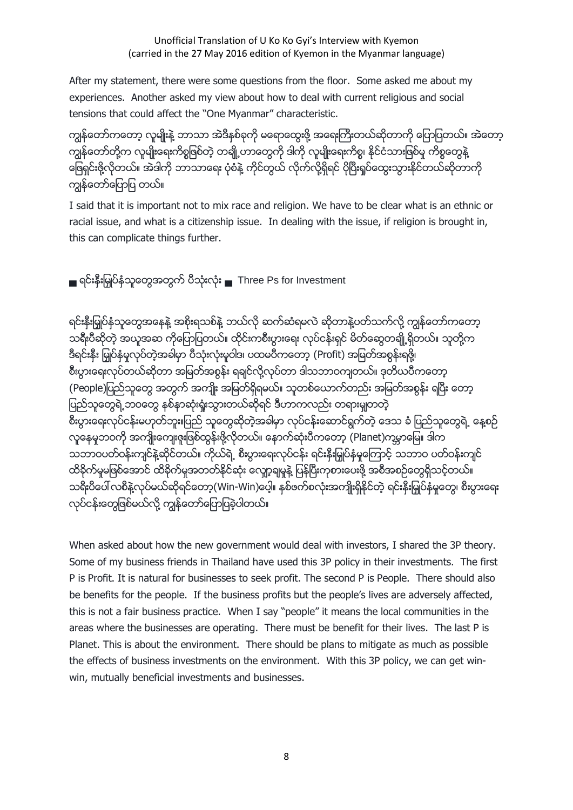After my statement, there were some questions from the floor. Some asked me about my experiences. Another asked my view about how to deal with current religious and social tensions that could affect the "One Myanmar" characteristic.

ကျွန်တော်ကတော့ လူမျိုးနဲ့ ဘာသာ အဲဒီနစ်ခုကို မရောထွေးဖို့ အရေးကြီးတယ်ဆိုတာကို ပြောပြတယ်။ အဲတော့ ကျွန်တော်တို့က လူမျိုးရေးကိစ္စဖြစ်တဲ့ တချို့ဟာတွေကို ဒါကို လူမျိုးရေးကိစ္စ၊ နိုင်ငံသားဖြစ်မှု ကိစ္စတွေနဲ့ ဖြေရှင်းဖို့လိုတယ်။ အဲဒါကို ဘာသာရေး ပုံစံနဲ့ ကိုင်တွယ် လိုက်လို့ရှိရင် ပိုပြီးရှုပ်ထွေးသွားနိုင်တယ်ဆိုတာကို ကျွန်တော်ပြောပြ တယ်။

I said that it is important not to mix race and religion. We have to be clear what is an ethnic or racial issue, and what is a citizenship issue. In dealing with the issue, if religion is brought in, this can complicate things further.

■ ရင်းနီးမြုပ်နံသူတွေအတွက် ပီသုံးလုံး ■ Three Ps for Investment

ရင်းနီးမြှုပ်နံသူတွေအနေနဲ့ အစိုးရသစ်နဲ့ ဘယ်လို ဆက်ဆံရမလဲ ဆိုတာနဲ့ပတ်သက်လို့ ကျွန်တော်ကတော့ သရီးပီဆိုတဲ့ အယူအဆ ကိုေပြေပြတယ်။ ထိုင်းကစီးပွားေရး လုပ်ငန်းရှင် မိတ်ဆွေတချို့ရှိတယ်။ သူတို့က ဒီရင်းနီး မြှုပ်နံမှုလုပ်တဲ့အခါမှာ ပီသုံးလုံးမှုဝါဒ၊ ပထမပီကတော့ (Profit) အမြတ်အစွန်းရဖို့၊ စီးပွားေရးလုပ်တယ်ဆိုတာ အမြတ်အစွန်း ရချင်လို့လုပ်တာ ဒါသဘာဝကျတယ်။ ဒုတိယပီကတော့ (People)ပြည်သူတွေ အတွက် အကျိုး အမြတ်ရှိရမယ်။ သူတစ်ယောက်တည်း အမြတ်အစွန်း ရပြီး တော့ ပြည်သူတွေရဲ့ဘဝတွေ နစ်နာဆုံးရုံးသွားတယ်ဆိုရင် ဒီဟာကလည်း တရားမျှတတဲ့ စီးပွားေရးလုပ်ငန်းမဟုတ်ဘူး။ပြည် သူတွေဆိုတဲ့အခါမှာ လုပ်ငန်းေဆာင်ရွက်တဲ့ ေဒသ ခံ ပြည်သူတွေရဲ့ ေန့စဉ် လူနေမှုဘဝကို အကျိုးကျေးဇူးဖြစ်ထွန်းဖို့လိုတယ်။ နောက်ဆုံးပီကတော့ (Planet)ကမ္ဘာမြေ။ ဒါက သဘာဝပတ်ဝန်းကျင်နဲ့ဆိုင်တယ်။ ကိုယ်ရဲ့ စီးပွားေရးလုပ်ငန်း ရင်းနီးမြှုပ်နံမှုကြောင့် သဘာဝ ပတ်ဝန်းကျင် ထိခိုက်မှုမဖြစ်အောင် ထိခိုက်မှုအတတ်နိုင်ဆုံး ကျော့ချမှုနဲ့ ပြန်ပြီးကုစားပေးဖို့ အစီအစဉ်တွေရှိသင့်တယ်။ သရီးပီပေါ် လစီနဲ့လုပ်မယ်ဆိုရင်တော့(Win-Win)ပေ့ါ။ နှစ်ဖက်စလုံးအကျိုးရှိနိုင်တဲ့ ရင်းနှီးမြှုပ်နှံမှုတွေ၊ စီးပွားရေး လုပ်ငန်းတွေဖြစ်မယ်လို့ ကျွန်တော်ပြောပြခဲ့ပါတယ်။

When asked about how the new government would deal with investors, I shared the 3P theory. Some of my business friends in Thailand have used this 3P policy in their investments. The first P is Profit. It is natural for businesses to seek profit. The second P is People. There should also be benefits for the people. If the business profits but the people's lives are adversely affected, this is not a fair business practice. When I say "people" it means the local communities in the areas where the businesses are operating. There must be benefit for their lives. The last P is Planet. This is about the environment. There should be plans to mitigate as much as possible the effects of business investments on the environment. With this 3P policy, we can get winwin, mutually beneficial investments and businesses.